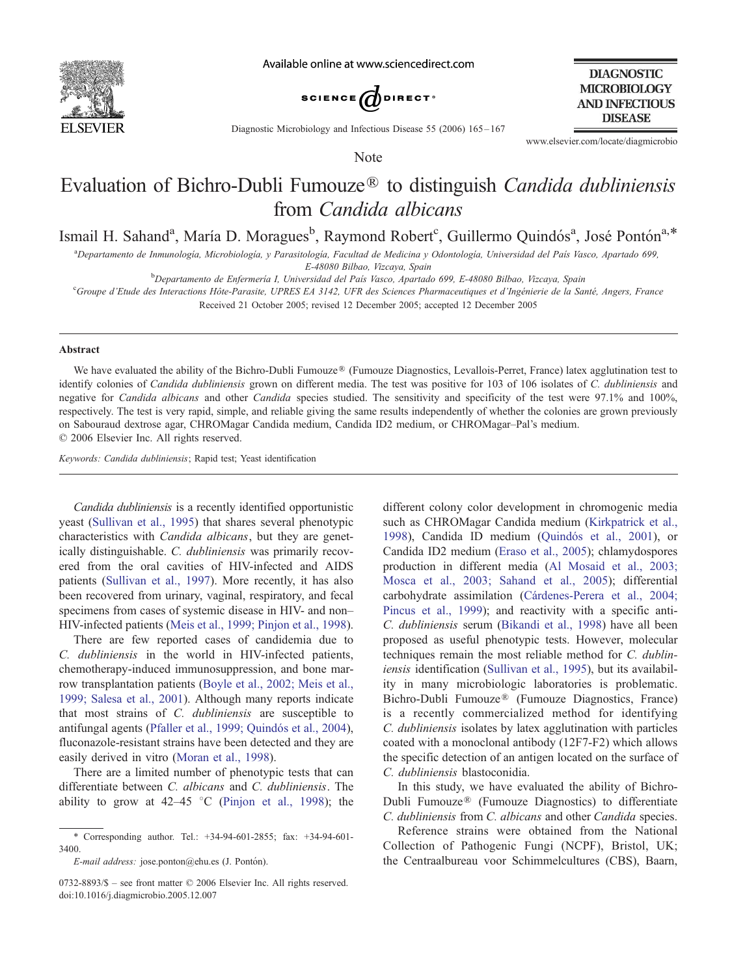

Available online at www.sciencedirect.com



**DIAGNOSTIC MICROBIOLOGY AND INFECTIOUS DISEASE** 

Diagnostic Microbiology and Infectious Disease 55 (2006) 165-167

Note

www.elsevier.com/locate/diagmicrobio

## Evaluation of Bichro-Dubli Fumouze® to distinguish Candida dubliniensis from Candida albicans

Ismail H. Sahand<sup>a</sup>, María D. Moragues<sup>b</sup>, Raymond Robert<sup>c</sup>, Guillermo Quindós<sup>a</sup>, José Pontón<sup>a,\*</sup>

a<br>Apepartamento de Inmunología, Microbiología, y Parasitología, Facultad de Medicina y Odontología, Universidad del País Vasco, Apartado 699,

E-48080 Bilbao, Vizcaya, Spain

b Departamento de Enfermería I, Universidad del País Vasco, Apartado 699, E-48080 Bilbao, Vizcaya, Spain (1998)<br>Croupe d'Etude des Interactions Hôte Parasite, UPPES EA 3142, UEP des Seignees Phermaceutiques et d'Ingénierie

<sup>e</sup>Groupe d'Etude des Interactions Hôte-Parasite, UPRES EA 3142, UFR des Sciences Pharmaceutiques et d'Ingénierie de la Santé, Angers, France

Received 21 October 2005; revised 12 December 2005; accepted 12 December 2005

## Abstract

We have evaluated the ability of the Bichro-Dubli Fumouze<sup>®</sup> (Fumouze Diagnostics, Levallois-Perret, France) latex agglutination test to identify colonies of *Candida dubliniensis* grown on different media. The test was positive for 103 of 106 isolates of C. *dubliniensis* and negative for Candida albicans and other Candida species studied. The sensitivity and specificity of the test were 97.1% and 100%, respectively. The test is very rapid, simple, and reliable giving the same results independently of whether the colonies are grown previously on Sabouraud dextrose agar, CHROMagar Candida medium, Candida ID2 medium, or CHROMagar–Pal's medium.  $© 2006 Elsevier Inc. All rights reserved.$ 

Keywords: Candida dubliniensis; Rapid test; Yeast identification

Candida dubliniensis is a recently identified opportunistic yeast ([Sullivan](#page-2-0) [et](#page-2-0) [al.,](#page-2-0) [1995\)](#page-2-0) that shares several phenotypic characteristics with Candida albicans, but they are genetically distinguishable. C. dubliniensis was primarily recovered from the oral cavities of HIV-infected and AIDS patients ([Sullivan](#page-2-0) [et](#page-2-0) [al.,](#page-2-0) [1997\)](#page-2-0). More recently, it has also been recovered from urinary, vaginal, respiratory, and fecal specimens from cases of systemic disease in HIV- and non– HIV-infected patients ([Meis](#page-2-0) [et](#page-2-0) [al.,](#page-2-0) [1999;](#page-2-0) [Pinjon](#page-2-0) [et](#page-2-0) [al.,](#page-2-0) [1998\)](#page-2-0).

There are few reported cases of candidemia due to C. dubliniensis in the world in HIV-infected patients, chemotherapy-induced immunosuppression, and bone marrow transplantation patients ([Boyle](#page-1-0) [et](#page-1-0) [al.,](#page-1-0) [2002;](#page-1-0) [Meis](#page-1-0) [et](#page-1-0) [al.,](#page-1-0) 1999; Salesa et al., 2001). Although many reports indicate that most strains of C. dubliniensis are susceptible to antifungal agents (Pfaller et al., 1999; Quindós et al., 2004), fluconazole-resistant strains have been detected and they are easily derived in vitro ([Moran et al., 1998\)](#page-2-0).

There are a limited number of phenotypic tests that can differentiate between C. albicans and C. dubliniensis. The ability to grow at 42–45  $\degree$ C ([Pinjon et al., 1998\)](#page-2-0); the

E-mail address: jose.ponton@ehu.es (J. Pontón).

different colony color development in chromogenic media such as CHROMagar Candida medium ([Kirkpatrick](#page-2-0) [et](#page-2-0) [al.,](#page-2-0) 1998), Candida ID medium (Quindó[s](#page-2-0) [et](#page-2-0) [al.,](#page-2-0) [2001\)](#page-2-0), or Candida ID2 medium ([Eraso](#page-2-0) [et](#page-2-0) [al.,](#page-2-0) [2005\)](#page-2-0); chlamydospores production in different media ([Al](#page-1-0) [Mosaid](#page-1-0) [et](#page-1-0) [al.,](#page-1-0) [2003;](#page-1-0) Mosca et al., 2003; Sahand et al., 2005); differential carbohydrate assimilation (Cárdenes-Perera [et](#page-2-0) [al.,](#page-2-0) [2004;](#page-2-0) Pincus et al., 1999); and reactivity with a specific anti-C. dubliniensis serum ([Bikandi](#page-1-0) [et](#page-1-0) [al.,](#page-1-0) [1998\)](#page-1-0) have all been proposed as useful phenotypic tests. However, molecular techniques remain the most reliable method for C. dubliniensis identification ([Sullivan](#page-2-0) [et](#page-2-0) [al.,](#page-2-0) [1995\)](#page-2-0), but its availability in many microbiologic laboratories is problematic. Bichro-Dubli Fumouze<sup>®</sup> (Fumouze Diagnostics, France) is a recently commercialized method for identifying C. dubliniensis isolates by latex agglutination with particles coated with a monoclonal antibody (12F7-F2) which allows the specific detection of an antigen located on the surface of C. dubliniensis blastoconidia.

In this study, we have evaluated the ability of Bichro-Dubli Fumouze<sup>®</sup> (Fumouze Diagnostics) to differentiate C. dubliniensis from C. albicans and other Candida species.

Reference strains were obtained from the National Collection of Pathogenic Fungi (NCPF), Bristol, UK; the Centraalbureau voor Schimmelcultures (CBS), Baarn,

<sup>4</sup> Corresponding author. Tel.: +34-94-601-2855; fax: +34-94-601- 3400.

 $0732-8893/\$  – see front matter  $\odot$  2006 Elsevier Inc. All rights reserved. doi:10.1016/j.diagmicrobio.2005.12.007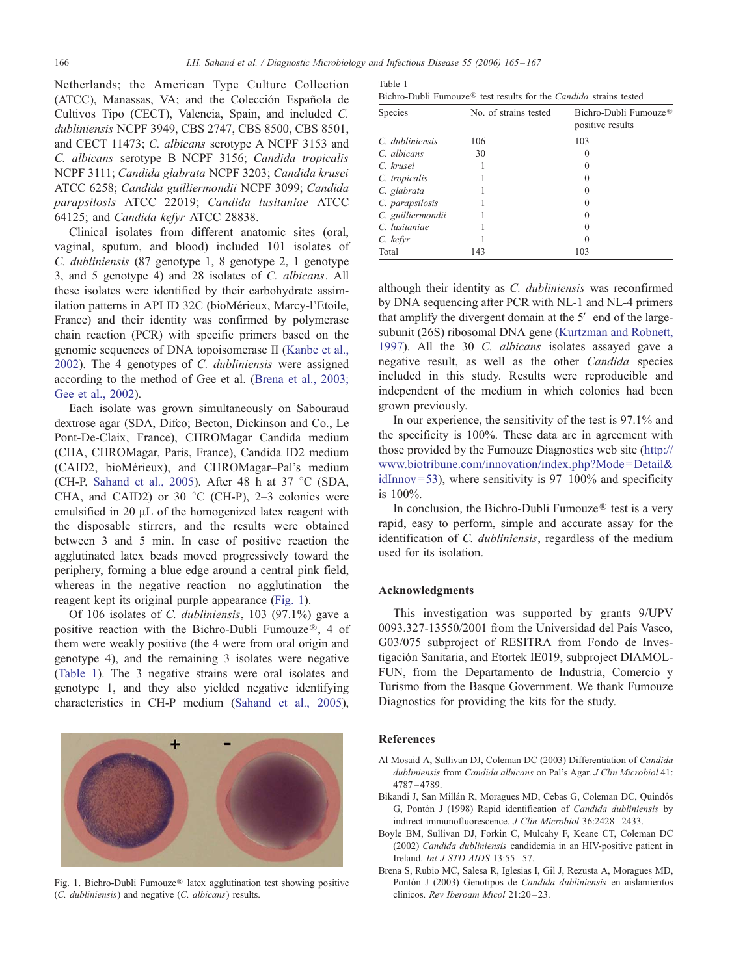<span id="page-1-0"></span>Netherlands; the American Type Culture Collection (ATCC), Manassas, VA; and the Colección Española de Cultivos Tipo (CECT), Valencia, Spain, and included C. dubliniensis NCPF 3949, CBS 2747, CBS 8500, CBS 8501, and CECT 11473; C. albicans serotype A NCPF 3153 and C. albicans serotype B NCPF 3156; Candida tropicalis NCPF 3111; Candida glabrata NCPF 3203; Candida krusei ATCC 6258; Candida guilliermondii NCPF 3099; Candida parapsilosis ATCC 22019; Candida lusitaniae ATCC 64125; and Candida kefyr ATCC 28838.

Clinical isolates from different anatomic sites (oral, vaginal, sputum, and blood) included 101 isolates of C. dubliniensis (87 genotype 1, 8 genotype 2, 1 genotype 3, and 5 genotype 4) and 28 isolates of C. albicans. All these isolates were identified by their carbohydrate assimilation patterns in API ID 32C (bioMérieux, Marcy-l'Etoile, France) and their identity was confirmed by polymerase chain reaction (PCR) with specific primers based on the genomic sequences of DNA topoisomerase II ([Kanbe](#page-2-0) [et](#page-2-0) [al.,](#page-2-0) 2002). The 4 genotypes of C. dubliniensis were assigned according to the method of Gee et al. (Brena et al., 2003; Gee et al., 2002).

Each isolate was grown simultaneously on Sabouraud dextrose agar (SDA, Difco; Becton, Dickinson and Co., Le Pont-De-Claix, France), CHROMagar Candida medium (CHA, CHROMagar, Paris, France), Candida ID2 medium (CAID2, bioMérieux), and CHROMagar-Pal's medium (CH-P, [Sahand](#page-2-0) [et](#page-2-0) [al.,](#page-2-0) [2005\)](#page-2-0). After 48 h at 37  $\degree$ C (SDA, CHA, and CAID2) or 30  $\degree$ C (CH-P), 2–3 colonies were emulsified in 20  $\mu$ L of the homogenized latex reagent with the disposable stirrers, and the results were obtained between 3 and 5 min. In case of positive reaction the agglutinated latex beads moved progressively toward the periphery, forming a blue edge around a central pink field, whereas in the negative reaction—no agglutination—the reagent kept its original purple appearance (Fig. 1).

Of 106 isolates of C. dubliniensis, 103 (97.1%) gave a positive reaction with the Bichro-Dubli Fumouze®, 4 of them were weakly positive (the 4 were from oral origin and genotype 4), and the remaining 3 isolates were negative (Table 1). The 3 negative strains were oral isolates and genotype 1, and they also yielded negative identifying characteristics in CH-P medium ([Sahand](#page-2-0) [et](#page-2-0) [al.,](#page-2-0) [2005\)](#page-2-0),



Fig. 1. Bichro-Dubli Fumouze® latex agglutination test showing positive (C. dubliniensis) and negative (C. albicans) results.

| Table 1                                                                              |  |  |  |
|--------------------------------------------------------------------------------------|--|--|--|
| Bichro-Dubli Fumouze <sup>®</sup> test results for the <i>Candida</i> strains tested |  |  |  |

| Species           | No. of strains tested | Bichro-Dubli Fumouze <sup>®</sup><br>positive results |  |  |
|-------------------|-----------------------|-------------------------------------------------------|--|--|
| C. dubliniensis   | 106                   | 103                                                   |  |  |
| C. albicans       | 30                    |                                                       |  |  |
| C. krusei         |                       |                                                       |  |  |
| C. tropicalis     |                       |                                                       |  |  |
| C. glabrata       |                       |                                                       |  |  |
| C. parapsilosis   |                       |                                                       |  |  |
| C. guilliermondii |                       |                                                       |  |  |
| C. lusitaniae     |                       |                                                       |  |  |
| C. kefyr          |                       |                                                       |  |  |
| Total             | 143                   | 103                                                   |  |  |

although their identity as C. dubliniensis was reconfirmed by DNA sequencing after PCR with NL-1 and NL-4 primers that amplify the divergent domain at the  $5'$  end of the largesubunit (26S) ribosomal DNA gene ([Kurtzman](#page-2-0) [and](#page-2-0) [Robnett,](#page-2-0) 1997). All the 30 C. albicans isolates assayed gave a negative result, as well as the other Candida species included in this study. Results were reproducible and independent of the medium in which colonies had been grown previously.

In our experience, the sensitivity of the test is 97.1% and the specificity is 100%. These data are in agreement with those provided by the Fumouze Diagnostics web site ([http://](http://www.biotribune.com/innovation/index.php?Mode=Detail&idInnov=53) www.biotribune.com/innovation/index.php?Mode=Detail& idInnov=53), where sensitivity is  $97-100\%$  and specificity is 100%.

In conclusion, the Bichro-Dubli Fumouze<sup>®</sup> test is a very rapid, easy to perform, simple and accurate assay for the identification of C. dubliniensis, regardless of the medium used for its isolation.

## Acknowledgments

This investigation was supported by grants 9/UPV 0093.327-13550/2001 from the Universidad del País Vasco, G03/075 subproject of RESITRA from Fondo de Investigación Sanitaria, and Etortek IE019, subproject DIAMOL-FUN, from the Departamento de Industria, Comercio y Turismo from the Basque Government. We thank Fumouze Diagnostics for providing the kits for the study.

## References

- Al Mosaid A, Sullivan DJ, Coleman DC (2003) Differentiation of Candida dubliniensis from Candida albicans on Pal's Agar. J Clin Microbiol 41: 4787 – 4789.
- Bikandi J, San Millán R, Moragues MD, Cebas G, Coleman DC, Quindós G, Pontón J (1998) Rapid identification of Candida dubliniensis by indirect immunofluorescence. J Clin Microbiol 36:2428-2433.
- Boyle BM, Sullivan DJ, Forkin C, Mulcahy F, Keane CT, Coleman DC (2002) Candida dubliniensis candidemia in an HIV-positive patient in Ireland. Int J STD AIDS 13:55 – 57.
- Brena S, Rubio MC, Salesa R, Iglesias I, Gil J, Rezusta A, Moragues MD, Pontón J (2003) Genotipos de Candida dubliniensis en aislamientos clínicos. Rev Iberoam Micol  $21:20 - 23$ .